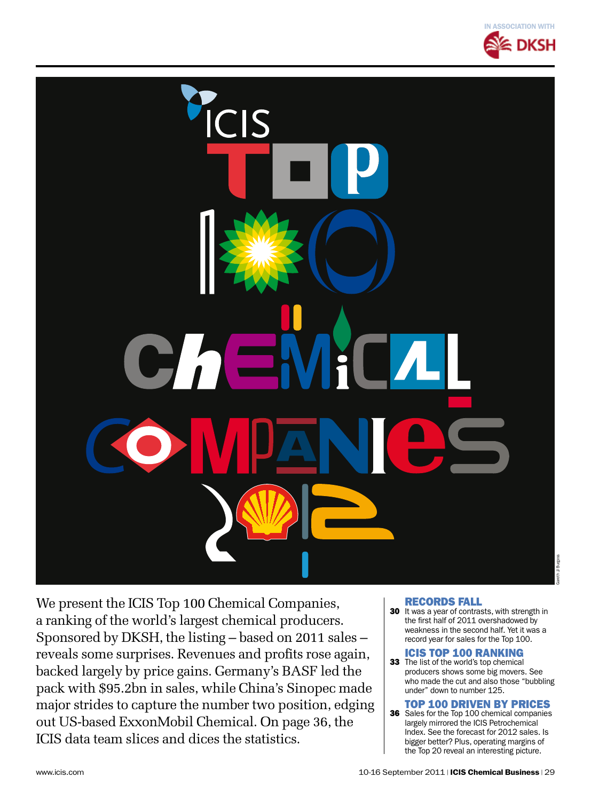

We present the ICIS Top 100 Chemical Companies, a ranking of the world's largest chemical producers. Sponsored by DKSH, the listing – based on 2011 sales – reveals some surprises. Revenues and profits rose again, backed largely by price gains. Germany's BASF led the pack with \$95.2bn in sales, while China's Sinopec made major strides to capture the number two position, edging out US-based ExxonMobil Chemical. On page 36, the ICIS data team slices and dices the statistics.

#### Records fall

30 It was a year of contrasts, with strength in the first half of 2011 overshadowed by weakness in the second half. Yet it was a record year for sales for the Top 100.

#### ICIS Top 100 ranking

33 The list of the world's top chemical producers shows some big movers. See who made the cut and also those "bubbling under" down to number 125.

#### Top 100 driven by prices

36 Sales for the Top 100 chemical companies largely mirrored the ICIS Petrochemical Index. See the forecast for 2012 sales. Is bigger better? Plus, operating margins of the Top 20 reveal an interesting picture.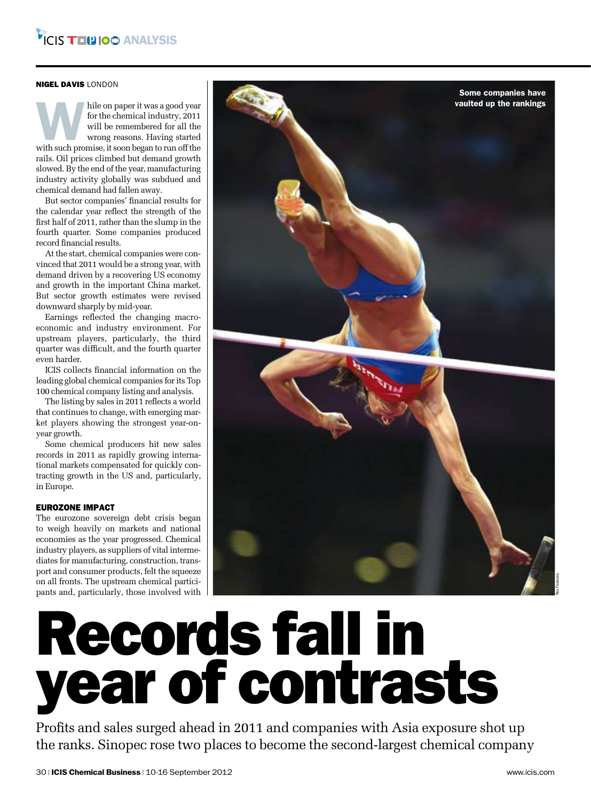#### nigel davis london

hile on paper it was a good year<br>for the chemical industry, 2011<br>will be remembered for all the<br>wrong reasons. Having started<br>with such promise, it soon began to run off the for the chemical industry, 2011 will be remembered for all the wrong reasons. Having started rails. Oil prices climbed but demand growth slowed. By the end of the year, manufacturing industry activity globally was subdued and chemical demand had fallen away.

But sector companies' financial results for the calendar year reflect the strength of the first half of 2011, rather than the slump in the fourth quarter. Some companies produced record financial results.

At the start, chemical companies were convinced that 2011 would be a strong year, with demand driven by a recovering US economy and growth in the important China market. But sector growth estimates were revised downward sharply by mid-year.

Earnings reflected the changing macroeconomic and industry environment. For upstream players, particularly, the third quarter was difficult, and the fourth quarter even harder.

ICIS collects financial information on the leading global chemical companies for its Top 100 chemical company listing and analysis.

The listing by sales in 2011 reflects a world that continues to change, with emerging market players showing the strongest year-onyear growth.

Some chemical producers hit new sales records in 2011 as rapidly growing international markets compensated for quickly contracting growth in the US and, particularly, in Europe.

#### EUROZONE IMPACT

The eurozone sovereign debt crisis began to weigh heavily on markets and national economies as the year progressed. Chemical industry players, as suppliers of vital intermediates for manufacturing, construction, transport and consumer products, felt the squeeze on all fronts. The upstream chemical participants and, particularly, those involved with



## Records fall in year of contrasts

Profits and sales surged ahead in 2011 and companies with Asia exposure shot up the ranks. Sinopec rose two places to become the second-largest chemical company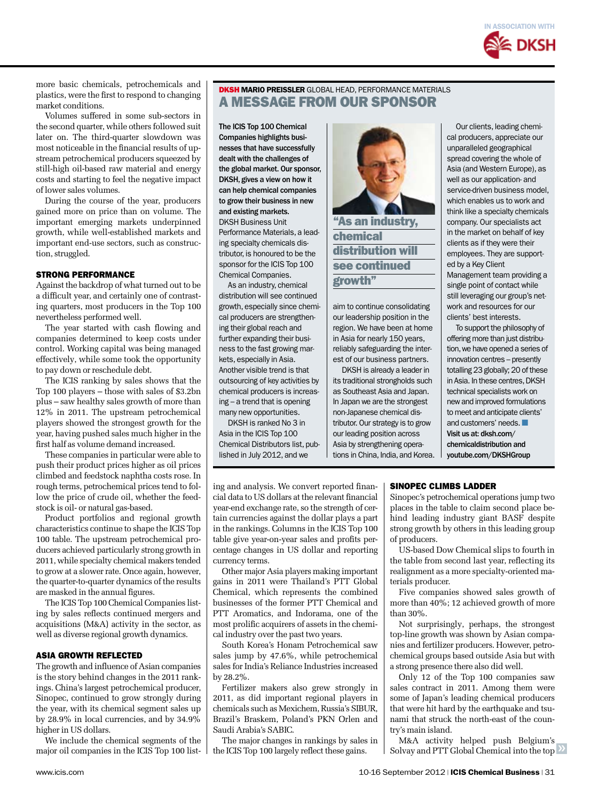

more basic chemicals, petrochemicals and plastics, were the first to respond to changing market conditions.

Volumes suffered in some sub-sectors in the second quarter, while others followed suit later on. The third-quarter slowdown was most noticeable in the financial results of upstream petrochemical producers squeezed by still-high oil-based raw material and energy costs and starting to feel the negative impact of lower sales volumes.

During the course of the year, producers gained more on price than on volume. The important emerging markets underpinned growth, while well-established markets and important end-use sectors, such as construction, struggled.

#### STRONG PERFORMANCE

Against the backdrop of what turned out to be a difficult year, and certainly one of contrasting quarters, most producers in the Top 100 nevertheless performed well.

The year started with cash flowing and companies determined to keep costs under control. Working capital was being managed effectively, while some took the opportunity to pay down or reschedule debt.

The ICIS ranking by sales shows that the Top 100 players – those with sales of \$3.2bn plus – saw healthy sales growth of more than 12% in 2011. The upstream petrochemical players showed the strongest growth for the year, having pushed sales much higher in the first half as volume demand increased.

These companies in particular were able to push their product prices higher as oil prices climbed and feedstock naphtha costs rose. In rough terms, petrochemical prices tend to follow the price of crude oil, whether the feedstock is oil- or natural gas-based.

Product portfolios and regional growth characteristics continue to shape the ICIS Top 100 table. The upstream petrochemical producers achieved particularly strong growth in 2011, while specialty chemical makers tended to grow at a slower rate. Once again, however, the quarter-to-quarter dynamics of the results are masked in the annual figures.

The ICIS Top 100 Chemical Companies listing by sales reflects continued mergers and acquisitions (M&A) activity in the sector, as well as diverse regional growth dynamics.

#### ASIA GROWTH REFLECTED

The growth and influence of Asian companies is the story behind changes in the 2011 rankings. China's largest petrochemical producer, Sinopec, continued to grow strongly during the year, with its chemical segment sales up by 28.9% in local currencies, and by 34.9% higher in US dollars.

We include the chemical segments of the major oil companies in the ICIS Top 100 list-

#### DKSH Mario Preissler global Head, Performance Materials A MESSAGE FROM OUR SPONSOR

The ICIS Top 100 Chemical Companies highlights businesses that have successfully dealt with the challenges of the global market. Our sponsor, DKSH, gives a view on how it can help chemical companies to grow their business in new and existing markets. DKSH Business Unit Performance Materials, a leading specialty chemicals distributor, is honoured to be the sponsor for the ICIS Top 100 Chemical Companies.

As an industry, chemical distribution will see continued growth, especially since chemical producers are strengthening their global reach and further expanding their business to the fast growing markets, especially in Asia. Another visible trend is that outsourcing of key activities by chemical producers is increasing – a trend that is opening many new opportunities.

DKSH is ranked No 3 in Asia in the ICIS Top 100 Chemical Distributors list, published in July 2012, and we

currency terms.

by 28.2%.

Saudi Arabia's SABIC.

ing and analysis. We convert reported financial data to US dollars at the relevant financial year-end exchange rate, so the strength of certain currencies against the dollar plays a part in the rankings. Columns in the ICIS Top 100 table give year-on-year sales and profits percentage changes in US dollar and reporting

Other major Asia players making important gains in 2011 were Thailand's PTT Global Chemical, which represents the combined businesses of the former PTT Chemical and PTT Aromatics, and Indorama, one of the most prolific acquirers of assets in the chemical industry over the past two years.

South Korea's Honam Petrochemical saw sales jump by 47.6%, while petrochemical sales for India's Reliance Industries increased

Fertilizer makers also grew strongly in 2011, as did important regional players in chemicals such as Mexichem, Russia's SIBUR, Brazil's Braskem, Poland's PKN Orlen and

The major changes in rankings by sales in the ICIS Top 100 largely reflect these gains.



aim to continue consolidating our leadership position in the region. We have been at home in Asia for nearly 150 years, reliably safeguarding the interest of our business partners.

DKSH is already a leader in its traditional strongholds such as Southeast Asia and Japan. In Japan we are the strongest non-Japanese chemical distributor. Our strategy is to grow our leading position across Asia by strengthening operations in China, India, and Korea.

Our clients, leading chemical producers, appreciate our unparalleled geographical spread covering the whole of Asia (and Western Europe), as well as our application- and service-driven business model, which enables us to work and think like a specialty chemicals company. Our specialists act in the market on behalf of key clients as if they were their employees. They are supported by a Key Client Management team providing a single point of contact while still leveraging our group's network and resources for our clients' best interests.

To support the philosophy of offering more than just distribution, we have opened a series of innovation centres – presently totalling 23 globally; 20 of these in Asia. In these centres, DKSH technical specialists work on new and improved formulations to meet and anticipate clients' and customers' needs. ■ Visit us at: dksh.com/ chemicaldistribution and youtube.com/DKSHGroup

#### SINOPEC climbs ladder

Sinopec's petrochemical operations jump two places in the table to claim second place behind leading industry giant BASF despite strong growth by others in this leading group of producers.

US-based Dow Chemical slips to fourth in the table from second last year, reflecting its realignment as a more specialty-oriented materials producer.

Five companies showed sales growth of more than 40%; 12 achieved growth of more than 30%.

Not surprisingly, perhaps, the strongest top-line growth was shown by Asian companies and fertilizer producers. However, petrochemical groups based outside Asia but with a strong presence there also did well.

Only 12 of the Top 100 companies saw sales contract in 2011. Among them were some of Japan's leading chemical producers that were hit hard by the earthquake and tsunami that struck the north-east of the country's main island.

Solvay and PTT Global Chemical into the top M&A activity helped push Belgium's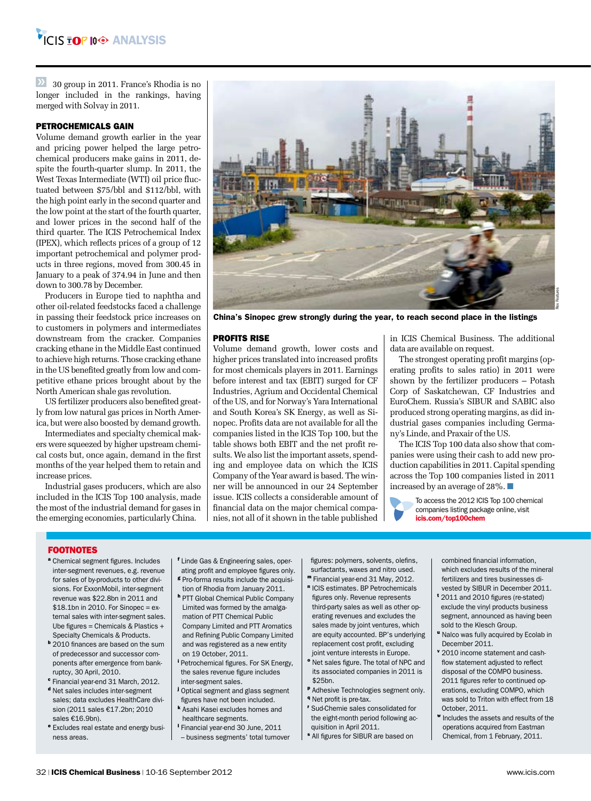$\overline{30}$  30 group in 2011. France's Rhodia is no longer included in the rankings, having merged with Solvay in 2011.

#### PETROCHEMICALS GAIN

Volume demand growth earlier in the year and pricing power helped the large petrochemical producers make gains in 2011, despite the fourth-quarter slump. In 2011, the West Texas Intermediate (WTI) oil price fluctuated between \$75/bbl and \$112/bbl, with the high point early in the second quarter and the low point at the start of the fourth quarter, and lower prices in the second half of the third quarter. The ICIS Petrochemical Index (IPEX), which reflects prices of a group of 12 important petrochemical and polymer products in three regions, moved from 300.45 in January to a peak of 374.94 in June and then down to 300.78 by December.

Producers in Europe tied to naphtha and other oil-related feedstocks faced a challenge in passing their feedstock price increases on to customers in polymers and intermediates downstream from the cracker. Companies cracking ethane in the Middle East continued to achieve high returns. Those cracking ethane in the US benefited greatly from low and competitive ethane prices brought about by the North American shale gas revolution.

US fertilizer producers also benefited greatly from low natural gas prices in North America, but were also boosted by demand growth.

Intermediates and specialty chemical makers were squeezed by higher upstream chemical costs but, once again, demand in the first months of the year helped them to retain and increase prices.

Industrial gases producers, which are also included in the ICIS Top 100 analysis, made the most of the industrial demand for gases in the emerging economies, particularly China.



China's Sinopec grew strongly during the year, to reach second place in the listings

#### PROFITS RISE

Volume demand growth, lower costs and higher prices translated into increased profits for most chemicals players in 2011. Earnings before interest and tax (EBIT) surged for CF Industries, Agrium and Occidental Chemical of the US, and for Norway's Yara International and South Korea's SK Energy, as well as Sinopec. Profits data are not available for all the companies listed in the ICIS Top 100, but the table shows both EBIT and the net profit results. We also list the important assets, spending and employee data on which the ICIS Company of the Year award is based. The winner will be announced in our 24 September issue. ICIS collects a considerable amount of financial data on the major chemical companies, not all of it shown in the table published in ICIS Chemical Business. The additional data are available on request.

The strongest operating profit margins (operating profits to sales ratio) in 2011 were shown by the fertilizer producers – Potash Corp of Saskatchewan, CF Industries and EuroChem. Russia's SIBUR and SABIC also produced strong operating margins, as did industrial gases companies including Germany's Linde, and Praxair of the US.

The ICIS Top 100 data also show that companies were using their cash to add new production capabilities in 2011. Capital spending across the Top 100 companies listed in 2011 increased by an average of 28%. ■

To access the 2012 ICIS Top 100 chemical companies listing package online, visit icis.com/top100chem

#### **FOOTNOTES**

- <sup>a</sup> Chemical segment figures. Includes inter-segment revenues, e.g. revenue for sales of by-products to other divisions. For ExxonMobil, inter-segment revenue was \$22.8bn in 2011 and  $$18.1$ bn in 2010. For Sinopec =  $ex$ ternal sales with inter-segment sales. Ube figures = Chemicals & Plastics + Specialty Chemicals & Products.
- **b** 2010 finances are based on the sum of predecessor and successor components after emergence from bankruptcy, 30 April, 2010.
- <sup>c</sup> Financial year-end 31 March, 2012. <sup>d</sup> Net sales includes inter-segment sales; data excludes HealthCare division (2011 sales €17.2bn; 2010 sales €16.9bn).
- <sup>e</sup> Excludes real estate and energy business areas.

<sup>f</sup> Linde Gas & Engineering sales, operating profit and employee figures only.

- **g** Pro-forma results include the acquisition of Rhodia from January 2011.
- **h PTT Global Chemical Public Company** Limited was formed by the amalgamation of PTT Chemical Public Company Limited and PTT Aromatics and Refining Public Company Limited and was registered as a new entity on 19 October, 2011.
- <sup>i</sup> Petrochemical figures. For SK Energy, the sales revenue figure includes inter-segment sales.
- **j** Optical segment and glass segment figures have not been included.
- <sup>k</sup> Asahi Kasei excludes homes and healthcare segments.
- <sup>l</sup> Financial year-end 30 June, 2011
- business segments' total turnover

figures: polymers, solvents, olefins, surfactants, waxes and nitro used.

- <sup>m</sup> Financial year-end 31 May, 2012. <sup>n</sup> ICIS estimates. BP Petrochemicals figures only. Revenue represents third-party sales as well as other operating revenues and excludes the sales made by joint ventures, which are equity accounted. BP's underlying replacement cost profit, excluding
- joint venture interests in Europe. <sup>o</sup> Net sales figure. The total of NPC and its associated companies in 2011 is \$25bn.
- <sup>p</sup> Adhesive Technologies segment only. *q* Net profit is pre-tax.
- <sup>r</sup> Sud-Chemie sales consolidated for the eight-month period following acquisition in April 2011.
- <sup>s</sup> All figures for SIBUR are based on

combined financial information, which excludes results of the mineral fertilizers and tires businesses divested by SIBUR in December 2011.

- <sup>t</sup> 2011 and 2010 figures (re-stated) exclude the vinyl products business segment, announced as having been sold to the Klesch Group.
- " Nalco was fully acquired by Ecolab in December 2011.
- v 2010 income statement and cashflow statement adjusted to reflect disposal of the COMPO business. 2011 figures refer to continued operations, excluding COMPO, which was sold to Triton with effect from 18 October, 2011.
- <sup>w</sup> Includes the assets and results of the operations acquired from Eastman Chemical, from 1 February, 2011.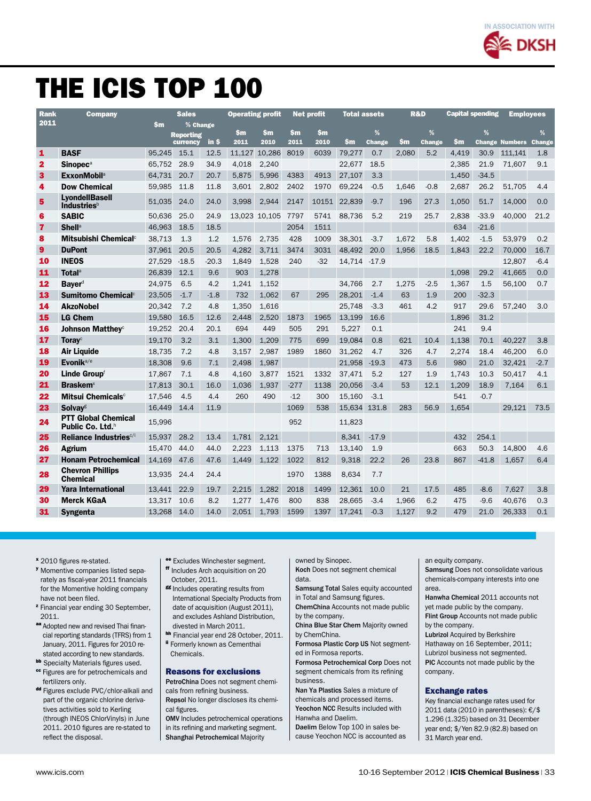

## The ICIS TOP 100

| <b>Rank</b>             | <b>Company</b>                                          |               | <b>Sales</b>                 |         | <b>Operating profit</b> |               |             | <b>Net profit</b> | <b>Total assets</b> |             | <b>R&amp;D</b> |                    | <b>Capital spending</b> |         | <b>Emplovees</b>      |                    |
|-------------------------|---------------------------------------------------------|---------------|------------------------------|---------|-------------------------|---------------|-------------|-------------------|---------------------|-------------|----------------|--------------------|-------------------------|---------|-----------------------|--------------------|
| 2011                    |                                                         | $\mathbf{Sm}$ | % Change                     |         |                         |               |             |                   |                     |             |                |                    |                         |         |                       |                    |
|                         |                                                         |               | <b>Reporting</b><br>currency | $in$ \$ | \$m<br>2011             | \$m<br>2010   | \$m<br>2011 | \$m<br>2010       | \$m                 | %<br>Change | \$m            | %<br><b>Change</b> | \$m                     | %       | <b>Change Numbers</b> | %<br><b>Change</b> |
| 1                       | <b>BASF</b>                                             | 95,245        | 15.1                         | 12.5    | 11.127                  | 10.286        | 8019        | 6039              | 79.277              | 0.7         | 2.080          | 5.2                | 4.419                   | 30.9    | 111.141               | 1.8                |
| $\overline{\mathbf{2}}$ | <b>Sinopec<sup>a</sup></b>                              | 65.752        | 28.9                         | 34.9    | 4.018                   | 2,240         |             |                   | 22.677              | 18.5        |                |                    | 2.385                   | 21.9    | 71,607                | 9.1                |
| $\overline{\mathbf{3}}$ | <b>ExxonMobil</b> <sup>a</sup>                          | 64.731        | 20.7                         | 20.7    | 5.875                   | 5,996         | 4383        | 4913              | 27,107              | 3.3         |                |                    | 1,450                   | $-34.5$ |                       |                    |
| 4                       | <b>Dow Chemical</b>                                     | 59.985        | 11.8                         | 11.8    | 3.601                   | 2.802         | 2402        | 1970              | 69.224              | $-0.5$      | 1.646          | $-0.8$             | 2.687                   | 26.2    | 51.705                | 4.4                |
| 5                       | <b>LvondellBasell</b><br><b>Industries</b> <sup>b</sup> | 51,035        | 24.0                         | 24.0    | 3.998                   | 2,944         | 2147        | 10151             | 22.839              | $-9.7$      | 196            | 27.3               | 1,050                   | 51.7    | 14,000                | 0.0                |
| 6                       | <b>SABIC</b>                                            | 50.636        | 25.0                         | 24.9    |                         | 13,023 10,105 | 7797        | 5741              | 88.736              | 5.2         | 219            | 25.7               | 2.838                   | $-33.9$ | 40.000                | 21.2               |
| $\overline{\mathbf{z}}$ | <b>Shell</b> <sup>a</sup>                               | 46.963        | 18.5                         | 18.5    |                         |               | 2054        | 1511              |                     |             |                |                    | 634                     | $-21.6$ |                       |                    |
| 8                       | Mitsubishi Chemical <sup>c</sup>                        | 38.713        | 1.3                          | 1.2     | 1.576                   | 2.735         | 428         | 1009              | 38.301              | $-3.7$      | 1.672          | 5.8                | 1.402                   | $-1.5$  | 53.979                | 0.2                |
| 9                       | <b>DuPont</b>                                           | 37.961        | 20.5                         | 20.5    | 4.282                   | 3.711         | 3474        | 3031              | 48.492              | 20.0        | 1.956          | 18.5               | 1,843                   | 22.2    | 70.000                | 16.7               |
| 10                      | <b>INEOS</b>                                            | 27.529        | $-18.5$                      | $-20.3$ | 1.849                   | 1.528         | 240         | $-32$             | 14.714              | $-17.9$     |                |                    |                         |         | 12.807                | $-6.4$             |
| 11                      | <b>Total</b> <sup>a</sup>                               | 26.839        | 12.1                         | 9.6     | 903                     | 1.278         |             |                   |                     |             |                |                    | 1.098                   | 29.2    | 41.665                | 0.0                |
| 12                      | <b>Bayer</b> <sup>d</sup>                               | 24.975        | 6.5                          | 4.2     | 1.241                   | 1.152         |             |                   | 34.766              | 2.7         | 1.275          | $-2.5$             | 1.367                   | 1.5     | 56.100                | 0.7                |
| 13                      | <b>Sumitomo Chemical<sup>c</sup></b>                    | 23.505        | $-1.7$                       | $-1.8$  | 732                     | 1.062         | 67          | 295               | 28.201              | $-1.4$      | 63             | 1.9                | 200                     | $-32.3$ |                       |                    |
| 14                      | <b>AkzoNobel</b>                                        | 20.342        | 7.2                          | 4.8     | 1.350                   | 1.616         |             |                   | 25.748              | $-3.3$      | 461            | 4.2                | 917                     | 29.6    | 57.240                | 3.0                |
| 15                      | <b>LG Chem</b>                                          | 19.580        | 16.5                         | 12.6    | 2.448                   | 2.520         | 1873        | 1965              | 13.199              | 16.6        |                |                    | 1.896                   | 31.2    |                       |                    |
| 16                      | <b>Johnson Matthey</b> <sup>c</sup>                     | 19.252        | 20.4                         | 20.1    | 694                     | 449           | 505         | 291               | 5.227               | 0.1         |                |                    | 241                     | 9.4     |                       |                    |
| 17                      | <b>Toray</b> <sup>c</sup>                               | 19.170        | 3.2                          | 3.1     | 1.300                   | 1.209         | 775         | 699               | 19.084              | 0.8         | 621            | 10.4               | 1.138                   | 70.1    | 40.227                | 3.8                |
| 18                      | <b>Air Liquide</b>                                      | 18.735        | 7.2                          | 4.8     | 3.157                   | 2.987         | 1989        | 1860              | 31.262              | 4.7         | 326            | 4.7                | 2.274                   | 18.4    | 46.200                | 6.0                |
| 19                      | Evonik <sup>a/e</sup>                                   | 18.308        | 9.6                          | 7.1     | 2.498                   | 1.987         |             |                   | 21.958              | $-19.3$     | 473            | 5.6                | 980                     | 21.0    | 32.421                | $-2.7$             |
| 20                      | Linde Groupf                                            | 17,867        | 7.1                          | 4.8     | 4.160                   | 3.877         | 1521        | 1332              | 37,471              | 5.2         | 127            | 1.9                | 1.743                   | 10.3    | 50.417                | 4.1                |
| 21                      | <b>Braskem</b> <sup>x</sup>                             | 17,813        | 30.1                         | 16.0    | 1.036                   | 1.937         | $-277$      | 1138              | 20,056              | $-3.4$      | 53             | 12.1               | 1,209                   | 18.9    | 7.164                 | 6.1                |
| 22                      | Mitsui Chemicals <sup>c</sup>                           | 17,546        | 4.5                          | 4.4     | 260                     | 490           | $-12$       | 300               | 15,160              | $-3.1$      |                |                    | 541                     | $-0.7$  |                       |                    |
| 23                      | <b>Solvav</b> <sup>g</sup>                              | 16.449        | 14.4                         | 11.9    |                         |               | 1069        | 538               | 15.634              | 131.8       | 283            | 56.9               | 1.654                   |         | 29.121                | 73.5               |
| 24                      | <b>PTT Global Chemical</b><br>Public Co. Ltd.h          | 15,996        |                              |         |                         |               | 952         |                   | 11,823              |             |                |                    |                         |         |                       |                    |
| 25                      | Reliance Industries <sup>c/i</sup>                      | 15.937        | 28.2                         | 13.4    | 1.781                   | 2.121         |             |                   | 8.341               | $-17.9$     |                |                    | 432                     | 254.1   |                       |                    |
| 26                      | <b>Agrium</b>                                           | 15.470        | 44.0                         | 44.0    | 2.223                   | 1.113         | 1375        | 713               | 13.140              | 1.9         |                |                    | 663                     | 50.3    | 14.800                | 4.6                |
| 27                      | <b>Honam Petrochemical</b>                              | 14,169        | 47.6                         | 47.6    | 1.449                   | 1.122         | 1022        | 812               | 9,318               | 22.2        | 26             | 23.8               | 867                     | $-41.8$ | 1,657                 | 6.4                |
| 28                      | <b>Chevron Phillips</b><br><b>Chemical</b>              | 13.935        | 24.4                         | 24.4    |                         |               | 1970        | 1388              | 8.634               | 7.7         |                |                    |                         |         |                       |                    |
| 29                      | <b>Yara International</b>                               | 13.441        | 22.9                         | 19.7    | 2.215                   | 1.282         | 2018        | 1499              | 12.361              | 10.0        | 21             | 17.5               | 485                     | $-8.6$  | 7.627                 | 3.8                |
| 30                      | <b>Merck KGaA</b>                                       | 13.317        | 10.6                         | 8.2     | 1.277                   | 1.476         | 800         | 838               | 28,665              | $-3.4$      | 1.966          | 6.2                | 475                     | $-9.6$  | 40.676                | 0.3                |
| 31                      | Syngenta                                                | 13.268        | 14.0                         | 14.0    | 2.051                   | 1.793         | 1599        | 1397              | 17.241              | $-0.3$      | 1.127          | 9.2                | 479                     | 21.0    | 26.333                | 0.1                |

- <sup>x</sup> 2010 figures re-stated.
- <sup>y</sup> Momentive companies listed separately as fiscal-year 2011 financials for the Momentive holding company have not been filed.
- <sup>z</sup> Financial year ending 30 September, 2011.
- aa Adopted new and revised Thai financial reporting standards (TFRS) from 1 January, 2011. Figures for 2010 restated according to new standards.
- **bb** Specialty Materials figures used.
- **cc** Figures are for petrochemicals and fertilizers only.
- dd Figures exclude PVC/chlor-alkali and part of the organic chlorine derivatives activities sold to Kerling (through INEOS ChlorVinyls) in June 2011. 2010 figures are re-stated to reflect the disposal.
- ee Excludes Winchester segment. ff Includes Arch acquisition on 20
- October, 2011. gg Includes operating results from International Specialty Products from date of acquisition (August 2011), and excludes Ashland Distribution, divested in March 2011.
- hh Financial year end 28 October, 2011. ii Formerly known as Cementhai
- Chemicals.

#### Reasons for exclusions

PetroChina Does not segment chemicals from refining business. Repsol No longer discloses its chemical figures.

OMV Includes petrochemical operations in its refining and marketing segment. Shanghai Petrochemical Majority

owned by Sinopec.

Koch Does not segment chemical data.

Samsung Total Sales equity accounted in Total and Samsung figures.

ChemChina Accounts not made public by the company.

China Blue Star Chem Majority owned by ChemChina.

Formosa Plastic Corp US Not segmented in Formosa reports.

Formosa Petrochemical Corp Does not segment chemicals from its refining business.

Nan Ya Plastics Sales a mixture of chemicals and processed items. Yeochon NCC Results included with

Hanwha and Daelim. Daelim Below Top 100 in sales be-

cause Yeochon NCC is accounted as

an equity company.

Samsung Does not consolidate various chemicals-company interests into one area.

Hanwha Chemical 2011 accounts not yet made public by the company. Flint Group Accounts not made public by the company.

Lubrizol Acquired by Berkshire Hathaway on 16 September, 2011; Lubrizol business not segmented. PIC Accounts not made public by the company.

#### Exchange rates

Key financial exchange rates used for 2011 data (2010 in parentheses): €/\$ 1.296 (1.325) based on 31 December year end; \$/Yen 82.9 (82.8) based on 31 March year end.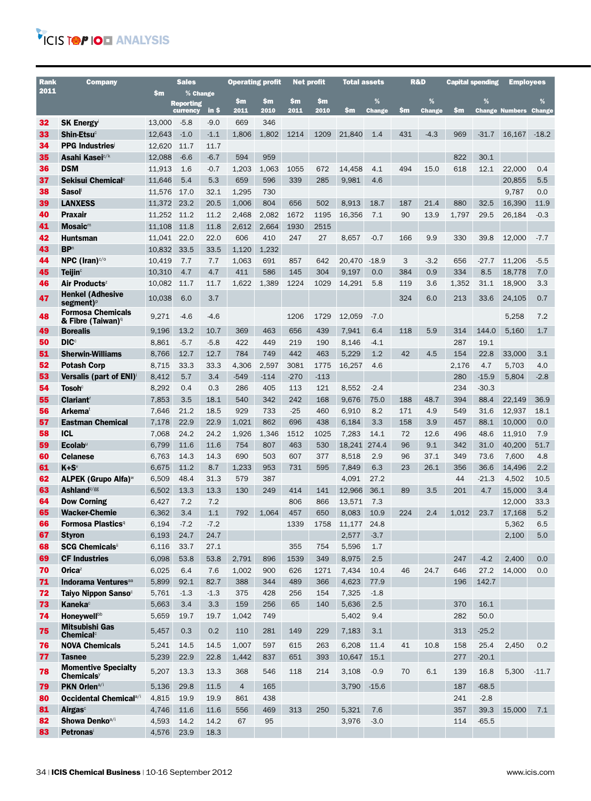### VICIS TOP IOD ANALYSIS

| Rank     | <b>Company</b>                                                |                | <b>Sales</b>                 |             | <b>Operating profit</b> |             | <b>Net profit</b> |             | <b>Total assets</b> |                    | <b>R&amp;D</b> |                       | <b>Capital spending</b> |                 | <b>Employees</b>             |             |
|----------|---------------------------------------------------------------|----------------|------------------------------|-------------|-------------------------|-------------|-------------------|-------------|---------------------|--------------------|----------------|-----------------------|-------------------------|-----------------|------------------------------|-------------|
| 2011     |                                                               | $\mathsf{sm}$  | % Change                     |             |                         |             |                   |             |                     |                    |                |                       |                         |                 |                              |             |
|          |                                                               |                | <b>Reporting</b><br>currency | in \$       | \$m<br>2011             | \$m<br>2010 | \$m<br>2011       | \$m<br>2010 | \$m                 | %<br><b>Change</b> | \$m            | $\%$<br><b>Change</b> | \$m                     | %               | <b>Change Numbers Change</b> | %           |
| 32       | <b>SK Energy</b>                                              | 13,000         | $-5.8$                       | $-9.0$      | 669                     | 346         |                   |             |                     |                    |                |                       |                         |                 |                              |             |
| 33       | $Shin-Etsuc$                                                  | 12,643         | $-1.0$                       | $-1.1$      | 1,806                   | 1,802       | 1214              | 1209        | 21,840              | 1.4                | 431            | $-4.3$                | 969                     | $-31.7$         | 16.167                       | $-18.2$     |
| 34       | <b>PPG Industries</b>                                         | 12,620         | 11.7                         | 11.7        |                         |             |                   |             |                     |                    |                |                       |                         |                 |                              |             |
| 35       | Asahi Kasei <sup>c/k</sup>                                    | 12,088         | $-6.6$                       | $-6.7$      | 594                     | 959         |                   |             |                     |                    |                |                       | 822                     | 30.1            |                              |             |
| 36       | <b>DSM</b>                                                    | 11,913         | 1.6                          | $-0.7$      | 1,203                   | 1,063       | 1055              | 672         | 14,458              | 4.1                | 494            | 15.0                  | 618                     | 12.1            | 22,000                       | 0.4         |
| 37       | Sekisui Chemical <sup>c</sup>                                 | 11,646         | 5.4                          | 5.3         | 659                     | 596         | 339               | 285         | 9,981               | 4.6                |                |                       |                         |                 | 20,855                       | 5.5         |
| 38       | <b>Sasol</b>                                                  | 11,576         | 17.0                         | 32.1        | 1,295                   | 730         |                   |             |                     |                    |                |                       |                         |                 | 9,787                        | 0.0         |
| 39       | <b>LANXESS</b>                                                | 11,372         | 23.2                         | 20.5        | 1,006                   | 804         | 656               | 502         | 8.913               | 18.7               | 187            | 21.4                  | 880                     | 32.5            | 16,390                       | 11.9        |
| 40       | <b>Praxair</b>                                                | 11,252         | 11.2                         | 11.2        | 2,468                   | 2,082       | 1672              | 1195        | 16.356              | 7.1                | 90             | 13.9                  | 1,797                   | 29.5            | 26,184                       | $-0.3$      |
| 41       | $M$ osaic <sup>m</sup>                                        | 11,108         | 11.8                         | 11.8        | 2,612                   | 2,664       | 1930              | 2515        |                     |                    |                |                       |                         |                 |                              |             |
| 42       | Huntsman                                                      | 11,041         | 22.0                         | 22.0        | 606                     | 410         | 247               | 27          | 8,657               | $-0.7$             | 166            | 9.9                   | 330                     | 39.8            | 12,000                       | $-7.7$      |
| 43       | <b>BP</b> <sup>n</sup>                                        | 10,832         | 33.5                         | 33.5        | 1,120                   | 1,232       |                   |             |                     |                    |                |                       |                         |                 |                              |             |
| 44       | NPC (Iran) $c/c$                                              | 10,419         | 7.7                          | 7.7         | 1,063                   | 691         | 857               | 642         | 20,470              | $-18.9$            | 3              | $-3.2$                | 656                     | $-27.7$         | 11,206                       | $-5.5$      |
| 45       | <b>Teijin</b> <sup>c</sup>                                    | 10,310         | 4.7                          | 4.7         | 411                     | 586         | 145               | 304         | 9,197               | 0.0                | 384            | 0.9                   | 334                     | 8.5             | 18,778                       | 7.0         |
| 46       | Air Products <sup>z</sup>                                     | 10.082         | 11.7                         | 11.7        | 1,622                   | 1,389       | 1224              | 1029        | 14,291              | 5.8                | 119            | 3.6                   | 1,352                   | 31.1            | 18,900                       | 3.3         |
| 47       | <b>Henkel (Adhesive</b><br>segment) <sup><math>p</math></sup> | 10,038         | 6.0                          | 3.7         |                         |             |                   |             |                     |                    | 324            | 6.0                   | 213                     | 33.6            | 24,105                       | 0.7         |
| 48       | <b>Formosa Chemicals</b><br>& Fibre (Taiwan)º                 | 9,271          | $-4.6$                       | $-4.6$      |                         |             | 1206              | 1729        | 12,059              | $-7.0$             |                |                       |                         |                 | 5,258                        | 7.2         |
| 49       | <b>Borealis</b>                                               | 9,196          | 13.2                         | 10.7        | 369                     | 463         | 656               | 439         | 7,941               | 6.4                | 118            | 5.9                   | 314                     | 144.0           | 5,160                        | 1.7         |
| 50       | <b>DIC</b> <sup>c</sup>                                       | 8,861          | $-5.7$                       | $-5.8$      | 422                     | 449         | 219               | 190         | 8,146               | $-4.1$             |                |                       | 287                     | 19.1            |                              |             |
| 51       | <b>Sherwin-Williams</b>                                       | 8,766          | 12.7                         | 12.7        | 784                     | 749         | 442               | 463         | 5,229               | 1.2                | 42             | 4.5                   | 154                     | 22.8            | 33,000                       | 3.1         |
| 52       | <b>Potash Corp</b>                                            | 8,715          | 33.3                         | 33.3        | 4,306                   | 2,597       | 3081              | 1775        | 16.257              | 4.6                |                |                       | 2,176                   | 4.7             | 5,703                        | 4.0         |
| 53       | <b>Versalis (part of ENI)</b>                                 | 8,412          | 5.7                          | 3.4         | $-549$                  | $-114$      | $-270$            | $-113$      |                     |                    |                |                       | 280                     | $-15.9$         | 5,804                        | $-2.8$      |
| 54       | Tosoh $^\circ$                                                | 8,292          | 0.4                          | 0.3         | 286                     | 405         | 113               | 121         | 8,552               | $-2.4$             |                |                       | 234                     | $-30.3$         |                              |             |
| 55       | <b>Clariant</b>                                               | 7,853          | 3.5                          | 18.1        | 540                     | 342         | 242               | 168         | 9,676               | 75.0               | 188            | 48.7                  | 394                     | 88.4            | 22,149                       | 36.9        |
| 56       | <b>Arkema</b> t                                               | 7,646          | 21.2                         | 18.5        | 929                     | 733         | $-25$             | 460         | 6,910               | 8.2                | 171            | 4.9                   | 549                     | 31.6            | 12,937                       | 18.1        |
| 57       | <b>Eastman Chemical</b>                                       | 7,178          | 22.9                         | 22.9        | 1.021                   | 862         | 696               | 438         | 6,184               | 3.3                | 158            | 3.9                   | 457                     | 88.1            | 10,000                       | 0.0         |
| 58       | <b>ICL</b>                                                    | 7,068          | 24.2                         | 24.2        | 1,926                   | 1,346       | 1512              | 1025        | 7,283               | 14.1               | 72             | 12.6                  | 496                     | 48.6            | 11,910                       | 7.9         |
| 59       | <b>Ecolab</b> <sup>u</sup>                                    | 6,799          | 11.6                         | 11.6        | 754                     | 807         | 463               | 530         | 18,241              | 274.4              | 96             | 9.1                   | 342                     | 31.0            | 40,200                       | 51.7        |
| 60       | <b>Celanese</b>                                               | 6,763          | 14.3                         | 14.3<br>8.7 | 690                     | 503         | 607               | 377         | 8,518               | 2.9                | 96             | 37.1                  | 349                     | 73.6            | 7,600                        | 4.8         |
| 61<br>62 | $K + S^v$<br>ALPEK (Grupo Alfa) <sup>™</sup>                  | 6,675<br>6,509 | 11.2<br>48.4                 | 31.3        | 1,233<br>579            | 953<br>387  | 731               | 595         | 7,849<br>4,091      | 6.3<br>27.2        | 23             | 26.1                  | 356<br>44               | 36.6<br>$-21.3$ | 14,496<br>4,502              | 2.2<br>10.5 |
| 63       | <b>Ashland</b> <sup>z/gg</sup>                                | 6,502          | 13.3                         | 13.3        | 130                     | 249         | 414               | 141         | 12,966              | 36.1               | 89             | 3.5                   | 201                     | 4.7             | 15,000                       | 3.4         |
| 64       | <b>Dow Corning</b>                                            | 6,427          | 7.2                          | 7.2         |                         |             | 806               | 866         | 13.571              | 7.3                |                |                       |                         |                 | 12,000                       | 33.3        |
| 65       | <b>Wacker-Chemie</b>                                          | 6,362          | 3.4                          | 1.1         | 792                     | 1.064       | 457               | 650         | 8,083               | 10.9               | 224            | 2.4                   | 1,012                   | 23.7            | 17,168                       | 5.2         |
| 66       | Formosa Plastics <sup>q</sup>                                 | 6,194          | $-7.2$                       | $-7.2$      |                         |             | 1339              | 1758        | 11,177              | 24.8               |                |                       |                         |                 | 5,362                        | 6.5         |
| 67       | <b>Styron</b>                                                 | 6,193          | 24.7                         | 24.7        |                         |             |                   |             | 2,577               | $-3.7$             |                |                       |                         |                 | 2,100                        | 5.0         |
| 68       | <b>SCG Chemicals</b> "                                        | 6,116          | 33.7                         | 27.1        |                         |             | 355               | 754         | 5,596               | 1.7                |                |                       |                         |                 |                              |             |
| 69       | <b>CF Industries</b>                                          | 6,098          | 53.8                         | 53.8        | 2,791                   | 896         | 1539              | 349         | 8,975               | 2.5                |                |                       | 247                     | $-4.2$          | 2,400                        | 0.0         |
| 70       | Orica <sup>z</sup>                                            | 6,025          | 6.4                          | 7.6         | 1,002                   | 900         | 626               | 1271        | 7,434               | 10.4               | 46             | 24.7                  | 646                     | 27.2            | 14,000                       | 0.0         |
| 71       | Indorama Ventures <sup>aa</sup>                               | 5,899          | 92.1                         | 82.7        | 388                     | 344         | 489               | 366         | 4,623               | 77.9               |                |                       | 196                     | 142.7           |                              |             |
| 72       | Taivo Nippon Sanso <sup>c</sup>                               | 5,761          | $-1.3$                       | $-1.3$      | 375                     | 428         | 256               | 154         | 7,325               | $-1.8$             |                |                       |                         |                 |                              |             |
| 73       | <b>Kaneka</b> <sup>c</sup>                                    | 5,663          | 3.4                          | 3.3         | 159                     | 256         | 65                | 140         | 5,636               | 2.5                |                |                       | 370                     | 16.1            |                              |             |
| 74       | <b>Honevwell</b> bb                                           | 5,659          | 19.7                         | 19.7        | 1,042                   | 749         |                   |             | 5,402               | 9.4                |                |                       | 282                     | 50.0            |                              |             |
| 75       | <b>Mitsubishi Gas</b><br><b>Chemical</b> <sup>c</sup>         | 5,457          | 0.3                          | 0.2         | 110                     | 281         | 149               | 229         | 7,183               | 3.1                |                |                       | 313                     | $-25.2$         |                              |             |
| 76       | <b>NOVA Chemicals</b>                                         | 5,241          | 14.5                         | 14.5        | 1,007                   | 597         | 615               | 263         | 6,208               | 11.4               | 41             | 10.8                  | 158                     | 25.4            | 2,450                        | 0.2         |
| 77       | <b>Tasnee</b>                                                 | 5,239          | 22.9                         | 22.8        | 1,442                   | 837         | 651               | 393         | 10,647              | 15.1               |                |                       | 277                     | $-20.1$         |                              |             |
| 78       | <b>Momentive Specialty</b><br>$Chemicals\gamma$               | 5,207          | 13.3                         | 13.3        | 368                     | 546         | 118               | 214         | 3,108               | $-0.9$             | 70             | 6.1                   | 139                     | 16.8            | 5.300                        | $-11.7$     |
| 79       | PKN Orlen <sup>a/i</sup>                                      | 5,136          | 29.8                         | 11.5        | $\overline{4}$          | 165         |                   |             | 3,790               | $-15.6$            |                |                       | 187                     | $-68.5$         |                              |             |
| 80       | Occidental Chemical <sup>a/i</sup>                            | 4,815          | 19.9                         | 19.9        | 861                     | 438         |                   |             |                     |                    |                |                       | 241                     | $-2.8$          |                              |             |
| 81       | Airgas <sup>c</sup>                                           | 4,746          | 11.6                         | 11.6        | 556                     | 469         | 313               | 250         | 5,321               | 7.6                |                |                       | 357                     | 39.3            | 15,000                       | 7.1         |
| 82       | Showa Denko <sup>a/i</sup>                                    | 4,593          | 14.2                         | 14.2        | 67                      | 95          |                   |             | 3,976               | $-3.0$             |                |                       | 114                     | $-65.5$         |                              |             |
| 83       | Petronasi                                                     | 4,576          | 23.9                         | 18.3        |                         |             |                   |             |                     |                    |                |                       |                         |                 |                              |             |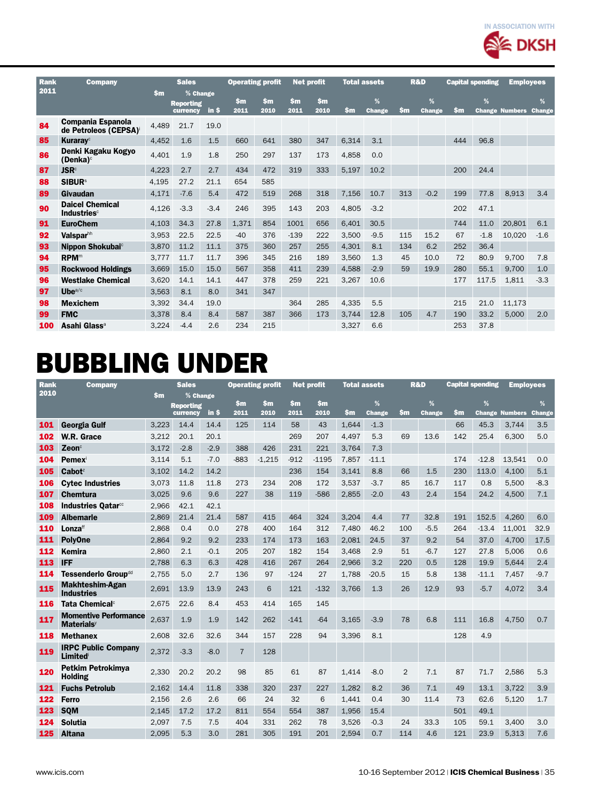

| Rank | <b>Company</b>                                           |           | <b>Sales</b>                             |        | <b>Operating profit</b> |             | <b>Net profit</b> |                       | <b>Total assets</b> |                    | <b>R&amp;D</b> |                    | <b>Capital spending</b> |        | <b>Employees</b>      |                    |
|------|----------------------------------------------------------|-----------|------------------------------------------|--------|-------------------------|-------------|-------------------|-----------------------|---------------------|--------------------|----------------|--------------------|-------------------------|--------|-----------------------|--------------------|
| 2011 |                                                          | <b>Sm</b> | % Change<br><b>Reporting</b><br>currency | in \$  | <b>Sm</b><br>2011       | \$m<br>2010 | \$m<br>2011       | $\mathbf{Sm}$<br>2010 | \$m                 | %<br><b>Change</b> | \$m            | %<br><b>Change</b> | \$m                     | %      | <b>Change Numbers</b> | %<br><b>Change</b> |
| 84   | Compania Espanola<br>de Petroleos (CEPSA) <sup>®</sup>   | 4.489     | 21.7                                     | 19.0   |                         |             |                   |                       |                     |                    |                |                    |                         |        |                       |                    |
| 85   | <b>Kurarav</b> <sup>c</sup>                              | 4,452     | 1.6                                      | 1.5    | 660                     | 641         | 380               | 347                   | 6,314               | 3.1                |                |                    | 444                     | 96.8   |                       |                    |
| 86   | Denki Kagaku Kogyo<br>(Denka) <sup>c</sup>               | 4,401     | 1.9                                      | 1.8    | 250                     | 297         | 137               | 173                   | 4.858               | 0.0                |                |                    |                         |        |                       |                    |
| 87   | <b>JSR</b> <sup>c</sup>                                  | 4,223     | 2.7                                      | 2.7    | 434                     | 472         | 319               | 333                   | 5,197               | 10.2               |                |                    | 200                     | 24.4   |                       |                    |
| 88   | <b>SIBUR</b> <sup>s</sup>                                | 4.195     | 27.2                                     | 21.1   | 654                     | 585         |                   |                       |                     |                    |                |                    |                         |        |                       |                    |
| 89   | Givaudan                                                 | 4,171     | $-7.6$                                   | 5.4    | 472                     | 519         | 268               | 318                   | 7.156               | 10.7               | 313            | $-0.2$             | 199                     | 77.8   | 8.913                 | 3.4                |
| 90   | <b>Daicel Chemical</b><br><b>Industries</b> <sup>c</sup> | 4,126     | $-3.3$                                   | $-3.4$ | 246                     | 395         | 143               | 203                   | 4.805               | $-3.2$             |                |                    | 202                     | 47.1   |                       |                    |
| 91   | <b>EuroChem</b>                                          | 4,103     | 34.3                                     | 27.8   | 1.371                   | 854         | 1001              | 656                   | 6,401               | 30.5               |                |                    | 744                     | 11.0   | 20,801                | 6.1                |
| 92   | <b>Valsparh</b>                                          | 3.953     | 22.5                                     | 22.5   | $-40$                   | 376         | $-139$            | 222                   | 3,500               | $-9.5$             | 115            | 15.2               | 67                      | $-1.8$ | 10.020                | $-1.6$             |
| 93   | Nippon Shokubai <sup>c</sup>                             | 3.870     | 11.2                                     | 11.1   | 375                     | 360         | 257               | 255                   | 4,301               | 8.1                | 134            | 6.2                | 252                     | 36.4   |                       |                    |
| 94   | <b>RPM™</b>                                              | 3.777     | 11.7                                     | 11.7   | 396                     | 345         | 216               | 189                   | 3,560               | 1.3                | 45             | 10.0               | 72                      | 80.9   | 9,700                 | 7.8                |
| 95   | <b>Rockwood Holdings</b>                                 | 3.669     | 15.0                                     | 15.0   | 567                     | 358         | 411               | 239                   | 4,588               | $-2.9$             | 59             | 19.9               | 280                     | 55.1   | 9.700                 | 1.0                |
| 96   | <b>Westlake Chemical</b>                                 | 3,620     | 14.1                                     | 14.1   | 447                     | 378         | 259               | 221                   | 3,267               | 10.6               |                |                    | 177                     | 117.5  | 1.811                 | $-3.3$             |
| 97   | Uhe $a/c$                                                | 3.563     | 8.1                                      | 8.0    | 341                     | 347         |                   |                       |                     |                    |                |                    |                         |        |                       |                    |
| 98   | <b>Mexichem</b>                                          | 3,392     | 34.4                                     | 19.0   |                         |             | 364               | 285                   | 4,335               | 5.5                |                |                    | 215                     | 21.0   | 11,173                |                    |
| 99   | <b>FMC</b>                                               | 3,378     | 8.4                                      | 8.4    | 587                     | 387         | 366               | 173                   | 3.744               | 12.8               | 105            | 4.7                | 190                     | 33.2   | 5.000                 | 2.0                |
| 100  | Asahi Glass <sup>a</sup>                                 | 3.224     | $-4.4$                                   | 2.6    | 234                     | 215         |                   |                       | 3.327               | 6.6                |                |                    | 253                     | 37.8   |                       |                    |

## Bubbling under

| <b>Rank</b> | Company                                                       |       | <b>Sales</b>                 |        |                | <b>Operating profit</b> | <b>Net profit</b> |         | Total assets |               |                | <b>R&amp;D</b> | <b>Capital spending</b> |               | <b>Emplovees</b> |               |
|-------------|---------------------------------------------------------------|-------|------------------------------|--------|----------------|-------------------------|-------------------|---------|--------------|---------------|----------------|----------------|-------------------------|---------------|------------------|---------------|
| 2010        |                                                               | \$m   | % Change                     |        | \$m            | \$m                     | \$m               | \$m     |              | %             |                | %              |                         | %             |                  | %             |
|             |                                                               |       | <b>Reporting</b><br>currency | in \$  | 2011           | 2010                    | 2011              | 2010    | \$m          | <b>Change</b> | \$m            | Change         | Sm                      | <b>Change</b> | <b>Numbers</b>   | <b>Change</b> |
| 101         | <b>Georgia Gulf</b>                                           | 3.223 | 14.4                         | 14.4   | 125            | 114                     | 58                | 43      | 1,644        | $-1.3$        |                |                | 66                      | 45.3          | 3.744            | 3.5           |
| 102         | W.R. Grace                                                    | 3.212 | 20.1                         | 20.1   |                |                         | 269               | 207     | 4,497        | 5.3           | 69             | 13.6           | 142                     | 25.4          | 6.300            | 5.0           |
| 103         | $\mathsf{Zeon}^\mathsf{c}$                                    | 3.172 | $-2.8$                       | $-2.9$ | 388            | 426                     | 231               | 221     | 3.764        | 7.3           |                |                |                         |               |                  |               |
| 104         | <b>Pemex</b>                                                  | 3.114 | 5.1                          | $-7.0$ | $-883$         | $-1.215$                | $-912$            | $-1195$ | 7,857        | $-11.1$       |                |                | 174                     | $-12.8$       | 13,541           | 0.0           |
| 105         | $C$ abot <sup><math>z</math></sup>                            | 3.102 | 14.2                         | 14.2   |                |                         | 236               | 154     | 3.141        | 8.8           | 66             | 1.5            | 230                     | 113.0         | 4,100            | 5.1           |
| 106         | <b>Cytec Industries</b>                                       | 3.073 | 11.8                         | 11.8   | 273            | 234                     | 208               | 172     | 3,537        | $-3.7$        | 85             | 16.7           | 117                     | 0.8           | 5.500            | $-8.3$        |
| 107         | <b>Chemtura</b>                                               | 3.025 | 9.6                          | 9.6    | 227            | 38                      | 119               | $-586$  | 2.855        | $-2.0$        | 43             | 2.4            | 154                     | 24.2          | 4,500            | 7.1           |
| 108         | Industries Qatar <sup>cc</sup>                                | 2.966 | 42.1                         | 42.1   |                |                         |                   |         |              |               |                |                |                         |               |                  |               |
| 109         | <b>Albemarle</b>                                              | 2.869 | 21.4                         | 21.4   | 587            | 415                     | 464               | 324     | 3.204        | 4.4           | 77             | 32.8           | 191                     | 152.5         | 4.260            | 6.0           |
| 110         | Lonza <sup>ff</sup>                                           | 2.868 | 0.4                          | 0.0    | 278            | 400                     | 164               | 312     | 7.480        | 46.2          | 100            | $-5.5$         | 264                     | $-13.4$       | 11.001           | 32.9          |
| 111         | <b>PolvOne</b>                                                | 2.864 | 9.2                          | 9.2    | 233            | 174                     | 173               | 163     | 2.081        | 24.5          | 37             | 9.2            | 54                      | 37.0          | 4.700            | 17.5          |
| 112         | Kemira                                                        | 2,860 | 2.1                          | $-0.1$ | 205            | 207                     | 182               | 154     | 3,468        | 2.9           | 51             | $-6.7$         | 127                     | 27.8          | 5,006            | 0.6           |
| 113         | <b>IFF</b>                                                    | 2,788 | 6.3                          | 6.3    | 428            | 416                     | 267               | 264     | 2,966        | 3.2           | 220            | 0.5            | 128                     | 19.9          | 5.644            | 2.4           |
| 114         | Tessenderlo Group <sup>dd</sup>                               | 2.755 | 5.0                          | 2.7    | 136            | 97                      | $-124$            | 27      | 1.788        | $-20.5$       | 15             | 5.8            | 138                     | -11.1         | 7,457            | $-9.7$        |
| 115         | <b>Makhteshim-Agan</b><br><b>Industries</b>                   | 2,691 | 13.9                         | 13.9   | 243            | 6                       | 121               | $-132$  | 3.766        | 1.3           | 26             | 12.9           | 93                      | $-5.7$        | 4,072            | 3.4           |
| 116         | Tata Chemical <sup>c</sup>                                    | 2,675 | 22.6                         | 8.4    | 453            | 414                     | 165               | 145     |              |               |                |                |                         |               |                  |               |
| 117         | <b>Momentive Performance</b><br><b>Materials</b> <sup>y</sup> | 2.637 | 1.9                          | 1.9    | 142            | 262                     | $-141$            | $-64$   | 3.165        | $-3.9$        | 78             | 6.8            | 111                     | 16.8          | 4.750            | 0.7           |
| 118         | <b>Methanex</b>                                               | 2.608 | 32.6                         | 32.6   | 344            | 157                     | 228               | 94      | 3.396        | 8.1           |                |                | 128                     | 4.9           |                  |               |
| 119         | <b>IRPC Public Company</b><br>Limited                         | 2.372 | $-3.3$                       | $-8.0$ | $\overline{7}$ | 128                     |                   |         |              |               |                |                |                         |               |                  |               |
| 120         | Petkim Petrokimya<br><b>Holding</b>                           | 2.330 | 20.2                         | 20.2   | 98             | 85                      | 61                | 87      | 1.414        | $-8.0$        | $\overline{2}$ | 7.1            | 87                      | 71.7          | 2,586            | 5.3           |
| 121         | <b>Fuchs Petrolub</b>                                         | 2.162 | 14.4                         | 11.8   | 338            | 320                     | 237               | 227     | 1.282        | 8.2           | 36             | 7.1            | 49                      | 13.1          | 3.722            | 3.9           |
| 122         | Ferro                                                         | 2.156 | 2.6                          | 2.6    | 66             | 24                      | 32                | 6       | 1.441        | 0.4           | 30             | 11.4           | 73                      | 62.6          | 5.120            | 1.7           |
| 123         | <b>SOM</b>                                                    | 2,145 | 17.2                         | 17.2   | 811            | 554                     | 554               | 387     | 1,956        | 15.4          |                |                | 501                     | 49.1          |                  |               |
| 124         | <b>Solutia</b>                                                | 2,097 | 7.5                          | 7.5    | 404            | 331                     | 262               | 78      | 3,526        | $-0.3$        | 24             | 33.3           | 105                     | 59.1          | 3.400            | 3.0           |
| 125         | <b>Altana</b>                                                 | 2.095 | 5.3                          | 3.0    | 281            | 305                     | 191               | 201     | 2.594        | 0.7           | 114            | 4.6            | 121                     | 23.9          | 5.313            | 7.6           |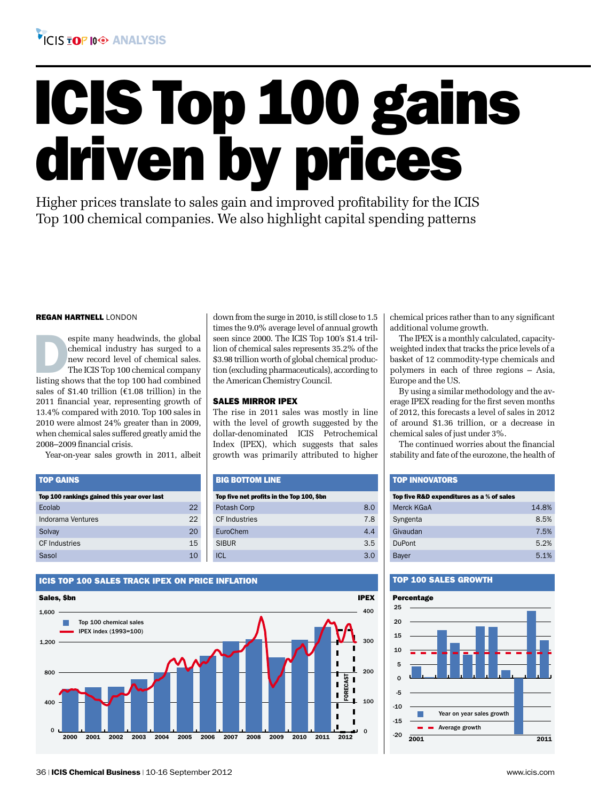

# ICIS Top 100 gains driven by prices

down from the surge in 2010, is still close to 1.5 times the 9.0% average level of annual growth seen since 2000. The ICIS Top 100's \$1.4 trillion of chemical sales represents 35.2% of the \$3.98 trillion worth of global chemical production (excluding pharmaceuticals), according to

The rise in 2011 sales was mostly in line with the level of growth suggested by the dollar-denominated ICIS Petrochemical Index (IPEX), which suggests that sales growth was primarily attributed to higher

Potash Corp 8.0 CF Industries 7.8 EuroChem 4.4 SIBUR 3.5 ICL  $\sim$  3.0

the American Chemistry Council.

Top five net profits in the Top 100, \$bn

SALES MIRROR IPEX

Big Bottom Line

Higher prices translate to sales gain and improved profitability for the ICIS Top 100 chemical companies. We also highlight capital spending patterns

#### regan hartnell london

espite many headwinds, the global chemical industry has surged to a new record level of chemical sales.<br>The ICIS Top 100 chemical company listing shows that the top 100 had combined chemical industry has surged to a new record level of chemical sales. The ICIS Top 100 chemical company sales of \$1.40 trillion ( $\epsilon$ 1.08 trillion) in the 2011 financial year, representing growth of 13.4% compared with 2010. Top 100 sales in 2010 were almost 24% greater than in 2009, when chemical sales suffered greatly amid the 2008–2009 financial crisis.

Year-on-year sales growth in 2011, albeit

| <b>TOP GAINS</b>                            |     |
|---------------------------------------------|-----|
| Top 100 rankings gained this year over last |     |
| Ecolab                                      | 22  |
| Indorama Ventures                           | 22  |
| Solvay                                      | 20  |
| <b>CF</b> Industries                        | 1.5 |
| Sasol                                       | 10  |

#### ICIS TOP 100 SALES TRACK IPEX ON PRICE INFLATION



chemical prices rather than to any significant additional volume growth.

The IPEX is a monthly calculated, capacityweighted index that tracks the price levels of a basket of 12 commodity-type chemicals and polymers in each of three regions – Asia, Europe and the US.

By using a similar methodology and the average IPEX reading for the first seven months of 2012, this forecasts a level of sales in 2012 of around \$1.36 trillion, or a decrease in chemical sales of just under 3%.

The continued worries about the financial stability and fate of the eurozone, the health of

#### Top Innovators

| Top five R&D expenditures as a % of sales |       |  |  |  |  |  |  |  |  |  |
|-------------------------------------------|-------|--|--|--|--|--|--|--|--|--|
| Merck KGaA                                | 14.8% |  |  |  |  |  |  |  |  |  |
| Syngenta                                  | 8.5%  |  |  |  |  |  |  |  |  |  |
| Givaudan                                  | 7.5%  |  |  |  |  |  |  |  |  |  |
| <b>DuPont</b>                             | 5.2%  |  |  |  |  |  |  |  |  |  |
| Bayer                                     | 5.1%  |  |  |  |  |  |  |  |  |  |
|                                           |       |  |  |  |  |  |  |  |  |  |

#### TOP 100 SALES GROWTH